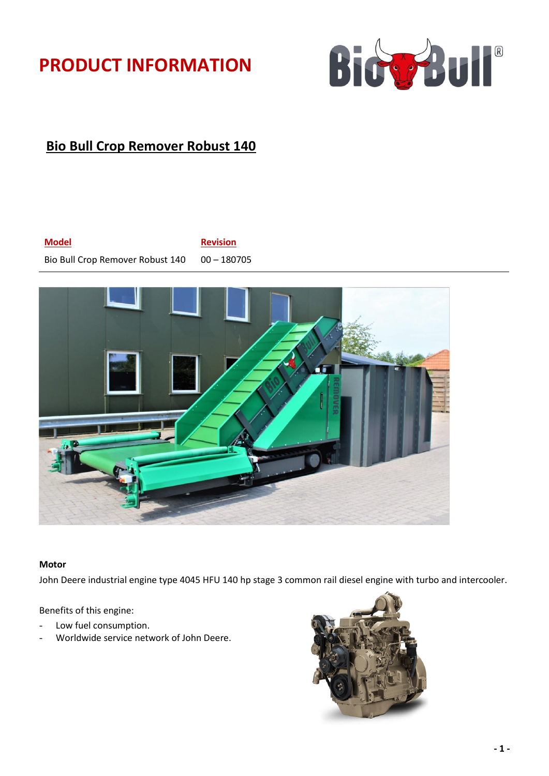# **PRODUCT INFORMATION**



## **Bio Bull Crop Remover Robust 140**

### **Model Revision**

Bio Bull Crop Remover Robust 140 00 - 180705



#### **Motor**

John Deere industrial engine type 4045 HFU 140 hp stage 3 common rail diesel engine with turbo and intercooler.

Benefits of this engine:

- Low fuel consumption.
- Worldwide service network of John Deere.

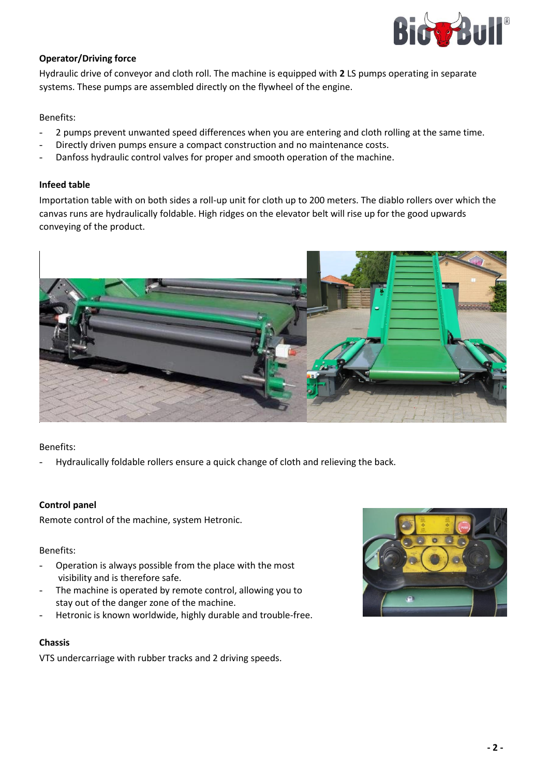

#### **Operator/Driving force**

Hydraulic drive of conveyor and cloth roll. The machine is equipped with **2** LS pumps operating in separate systems. These pumps are assembled directly on the flywheel of the engine.

#### Benefits:

- 2 pumps prevent unwanted speed differences when you are entering and cloth rolling at the same time.
- Directly driven pumps ensure a compact construction and no maintenance costs.
- Danfoss hydraulic control valves for proper and smooth operation of the machine.

#### **Infeed table**

Importation table with on both sides a roll-up unit for cloth up to 200 meters. The diablo rollers over which the canvas runs are hydraulically foldable. High ridges on the elevator belt will rise up for the good upwards conveying of the product.



#### Benefits:

Hydraulically foldable rollers ensure a quick change of cloth and relieving the back.

#### **Control panel**

Remote control of the machine, system Hetronic.

#### Benefits:

- Operation is always possible from the place with the most visibility and is therefore safe.
- The machine is operated by remote control, allowing you to stay out of the danger zone of the machine.
- Hetronic is known worldwide, highly durable and trouble-free.

#### **Chassis**

VTS undercarriage with rubber tracks and 2 driving speeds.